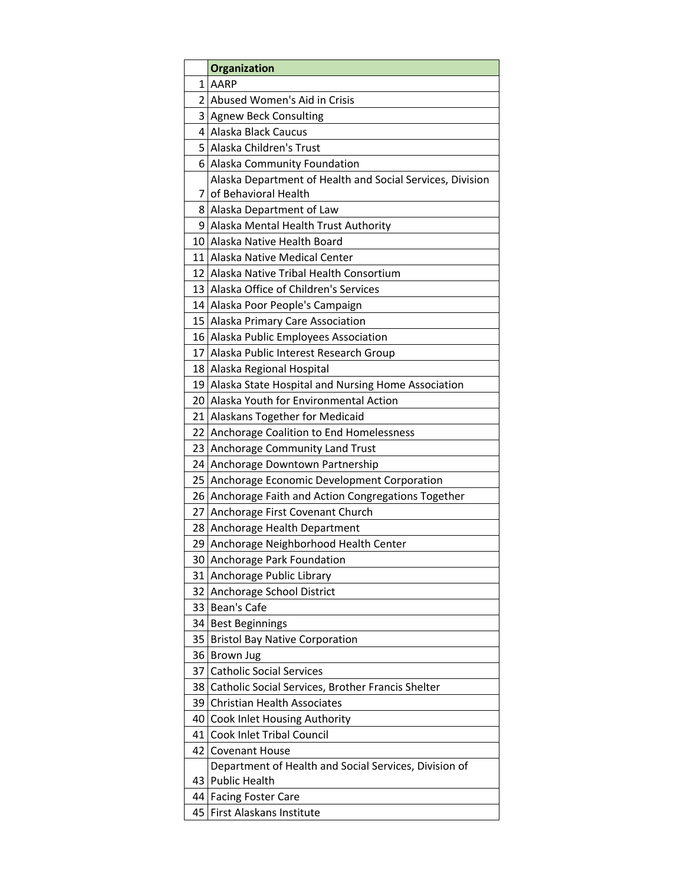|    | Organization                                                           |
|----|------------------------------------------------------------------------|
| 1  | AARP                                                                   |
| 2  | Abused Women's Aid in Crisis                                           |
| 3  | <b>Agnew Beck Consulting</b>                                           |
| 4  | Alaska Black Caucus                                                    |
| 5  | Alaska Children's Trust                                                |
| 61 | Alaska Community Foundation                                            |
|    | Alaska Department of Health and Social Services, Division              |
| 7  | of Behavioral Health                                                   |
| 8  | Alaska Department of Law                                               |
| 9  | Alaska Mental Health Trust Authority                                   |
| 10 | Alaska Native Health Board                                             |
| 11 | Alaska Native Medical Center                                           |
| 12 | Alaska Native Tribal Health Consortium                                 |
| 13 | Alaska Office of Children's Services                                   |
| 14 | Alaska Poor People's Campaign                                          |
| 15 | Alaska Primary Care Association                                        |
|    | 16 Alaska Public Employees Association                                 |
| 17 | Alaska Public Interest Research Group                                  |
| 18 | Alaska Regional Hospital                                               |
| 19 | Alaska State Hospital and Nursing Home Association                     |
| 20 | Alaska Youth for Environmental Action                                  |
| 21 | Alaskans Together for Medicaid                                         |
| 22 | Anchorage Coalition to End Homelessness                                |
| 23 | Anchorage Community Land Trust                                         |
| 24 | Anchorage Downtown Partnership                                         |
| 25 | Anchorage Economic Development Corporation                             |
| 26 | Anchorage Faith and Action Congregations Together                      |
| 27 | Anchorage First Covenant Church                                        |
| 28 | Anchorage Health Department                                            |
| 29 | Anchorage Neighborhood Health Center                                   |
| 30 | Anchorage Park Foundation                                              |
| 31 | Anchorage Public Library                                               |
| 32 | Anchorage School District                                              |
| 33 | Bean's Cafe                                                            |
| 34 | <b>Best Beginnings</b>                                                 |
| 35 | <b>Bristol Bay Native Corporation</b>                                  |
| 36 | Brown Jug                                                              |
| 37 | <b>Catholic Social Services</b>                                        |
| 38 | Catholic Social Services, Brother Francis Shelter                      |
| 39 | <b>Christian Health Associates</b>                                     |
| 40 | Cook Inlet Housing Authority                                           |
| 41 | Cook Inlet Tribal Council                                              |
| 42 | <b>Covenant House</b>                                                  |
| 43 | Department of Health and Social Services, Division of<br>Public Health |
| 44 | <b>Facing Foster Care</b>                                              |
| 45 | First Alaskans Institute                                               |
|    |                                                                        |